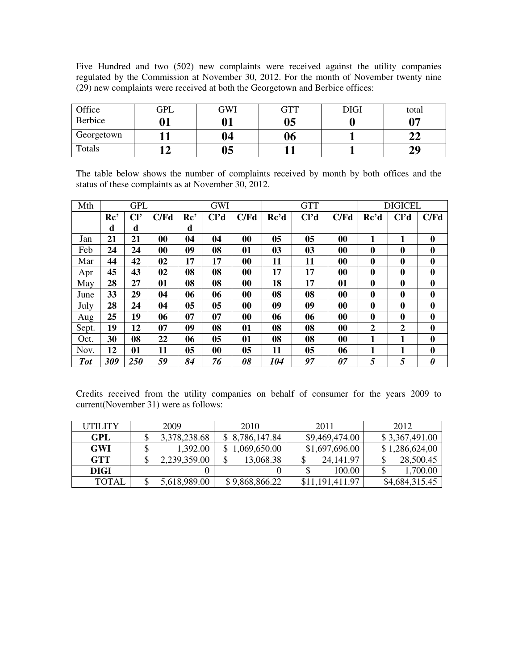Five Hundred and two (502) new complaints were received against the utility companies regulated by the Commission at November 30, 2012. For the month of November twenty nine (29) new complaints were received at both the Georgetown and Berbice offices:

| Office     | GPL | GWI | GTT | <b>DIGI</b> | total |
|------------|-----|-----|-----|-------------|-------|
| Berbice    |     |     | 05  |             | ∩⊓    |
| Georgetown |     | 04  | 06  |             | ⊶     |
| Totals     |     | 05  |     |             | 20    |

The table below shows the number of complaints received by month by both offices and the status of these complaints as at November 30, 2012.

| Mth        |                 | <b>GPL</b>      |      |                 | <b>GWI</b>        |      |      | <b>GTT</b>        |                   |                | <b>DIGICEL</b>    |                  |
|------------|-----------------|-----------------|------|-----------------|-------------------|------|------|-------------------|-------------------|----------------|-------------------|------------------|
|            | Re <sup>2</sup> | Cl <sup>2</sup> | C/Fd | Re <sup>2</sup> | Cl <sup>7</sup> d | C/Fd | Rc'd | Cl <sup>7</sup> d | C/Fd              | Rc'd           | Cl <sup>2</sup> d | C/Fd             |
|            | d               | d               |      | d               |                   |      |      |                   |                   |                |                   |                  |
| Jan        | 21              | 21              | 00   | 04              | 04                | 00   | 05   | 05                | $\boldsymbol{00}$ | 1              | 1                 | $\bf{0}$         |
| Feb        | 24              | 24              | 00   | 09              | 08                | 01   | 03   | 03                | $\boldsymbol{00}$ | $\mathbf{0}$   | $\mathbf{0}$      | $\mathbf{0}$     |
| Mar        | 44              | 42              | 02   | 17              | 17                | 00   | 11   | 11                | 00                | $\bf{0}$       | $\bf{0}$          | $\boldsymbol{0}$ |
| Apr        | 45              | 43              | 02   | 08              | 08                | 00   | 17   | 17                | $\boldsymbol{00}$ | $\mathbf{0}$   | $\mathbf{0}$      | $\mathbf{0}$     |
| May        | 28              | 27              | 01   | 08              | 08                | 00   | 18   | 17                | 01                | $\mathbf 0$    | $\mathbf{0}$      | $\boldsymbol{0}$ |
| June       | 33              | 29              | 04   | 06              | 06                | 00   | 08   | 08                | $\boldsymbol{00}$ | $\mathbf{0}$   | $\mathbf{0}$      | $\mathbf{0}$     |
| July       | 28              | 24              | 04   | 0 <sub>5</sub>  | 0 <sub>5</sub>    | 00   | 09   | 09                | 00                | $\mathbf 0$    | $\bf{0}$          | $\boldsymbol{0}$ |
| Aug        | 25              | 19              | 06   | 07              | 07                | 00   | 06   | 06                | $\boldsymbol{00}$ | $\mathbf{0}$   | $\mathbf{0}$      | $\mathbf{0}$     |
| Sept.      | 19              | 12              | 07   | 09              | 08                | 01   | 08   | 08                | $\boldsymbol{00}$ | $\overline{2}$ | $\boldsymbol{2}$  | $\boldsymbol{0}$ |
| Oct.       | 30              | 08              | 22   | 06              | 05                | 01   | 08   | 08                | $\boldsymbol{00}$ | 1              | 1                 | $\mathbf{0}$     |
| Nov.       | 12              | 01              | 11   | 0 <sub>5</sub>  | 00                | 05   | 11   | 05                | 06                | 1              | 1                 | $\boldsymbol{0}$ |
| <b>Tot</b> | 309             | 250             | 59   | 84              | 76                | 08   | 104  | 97                | 07                | 5              | 5                 | 0                |

Credits received from the utility companies on behalf of consumer for the years 2009 to current(November 31) were as follows:

| UTILITY      | 2009         | 2010           | 2011            | 2012           |
|--------------|--------------|----------------|-----------------|----------------|
| GPL          | 3,378,238.68 | \$8,786,147.84 | \$9,469,474.00  | \$3,367,491.00 |
| <b>GWI</b>   | 1,392.00     | 1,069,650.00   | \$1,697,696.00  | \$1,286,624,00 |
| <b>GTT</b>   | 2,239,359.00 | 13,068.38      | 24, 141. 97     | 28,500.45      |
| DIGI         |              |                | 100.00          | 1,700.00       |
| <b>TOTAL</b> | 5,618,989.00 | \$9,868,866.22 | \$11,191,411.97 | \$4,684,315.45 |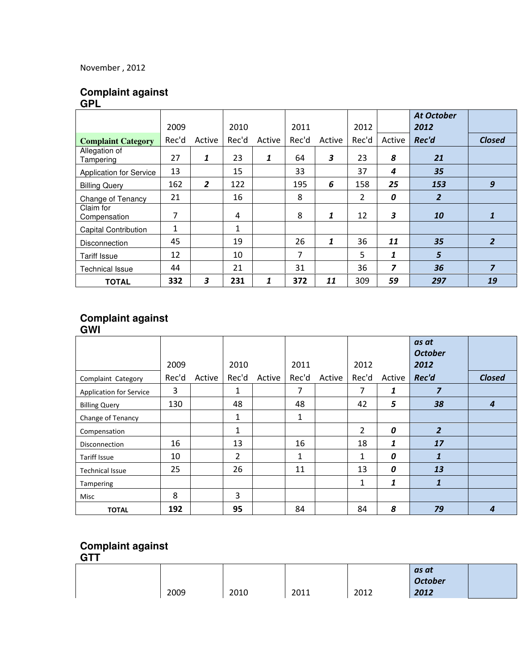## November , 2012

### **Complaint against GPL**

|                                | 2009         |                | 2010  |        | 2011  |              | 2012  |        | <b>At October</b><br>2012 |                  |
|--------------------------------|--------------|----------------|-------|--------|-------|--------------|-------|--------|---------------------------|------------------|
| <b>Complaint Category</b>      | Rec'd        | Active         | Rec'd | Active | Rec'd | Active       | Rec'd | Active | Rec'd                     | <b>Closed</b>    |
| Allegation of<br>Tampering     | 27           | 1              | 23    | 1      | 64    | 3            | 23    | 8      | 21                        |                  |
| <b>Application for Service</b> | 13           |                | 15    |        | 33    |              | 37    | 4      | 35                        |                  |
| <b>Billing Query</b>           | 162          | $\overline{2}$ | 122   |        | 195   | 6            | 158   | 25     | 153                       | $\boldsymbol{g}$ |
| Change of Tenancy              | 21           |                | 16    |        | 8     |              | 2     | 0      | $\overline{2}$            |                  |
| Claim for<br>Compensation      | 7            |                | 4     |        | 8     | $\mathbf{1}$ | 12    | 3      | 10                        |                  |
| <b>Capital Contribution</b>    | $\mathbf{1}$ |                | 1     |        |       |              |       |        |                           |                  |
| <b>Disconnection</b>           | 45           |                | 19    |        | 26    | $\mathbf{1}$ | 36    | 11     | 35                        | $\overline{2}$   |
| <b>Tariff Issue</b>            | 12           |                | 10    |        | 7     |              | 5     | 1      | $5\overline{5}$           |                  |
| <b>Technical Issue</b>         | 44           |                | 21    |        | 31    |              | 36    | 7      | 36                        | 7                |
| <b>TOTAL</b>                   | 332          | 3              | 231   | 1      | 372   | 11           | 309   | 59     | 297                       | 19               |

## **Complaint against**

#### **GWI**

|                                | 2009  |        | 2010  |        | 2011  |        | 2012           |        | as at<br><b>October</b><br>2012 |                  |
|--------------------------------|-------|--------|-------|--------|-------|--------|----------------|--------|---------------------------------|------------------|
| Complaint Category             | Rec'd | Active | Rec'd | Active | Rec'd | Active | Rec'd          | Active | Rec'd                           | <b>Closed</b>    |
| <b>Application for Service</b> | 3     |        | 1     |        | 7     |        | 7              | 1      | $\overline{z}$                  |                  |
| <b>Billing Query</b>           | 130   |        | 48    |        | 48    |        | 42             | 5      | 38                              | $\boldsymbol{4}$ |
| Change of Tenancy              |       |        | 1     |        | 1     |        |                |        |                                 |                  |
| Compensation                   |       |        | 1     |        |       |        | $\overline{2}$ | 0      | $\overline{2}$                  |                  |
| Disconnection                  | 16    |        | 13    |        | 16    |        | 18             | 1      | 17                              |                  |
| <b>Tariff Issue</b>            | 10    |        | 2     |        | 1     |        | 1              | 0      | $\mathbf{1}$                    |                  |
| <b>Technical Issue</b>         | 25    |        | 26    |        | 11    |        | 13             | 0      | 13                              |                  |
| <b>Tampering</b>               |       |        |       |        |       |        | 1              | 1      | 1                               |                  |
| Misc                           | 8     |        | 3     |        |       |        |                |        |                                 |                  |
| <b>TOTAL</b>                   | 192   |        | 95    |        | 84    |        | 84             | 8      | 79                              | 4                |

## **Complaint against**

**GTT** 

| - - - |      |      |      |      |                |  |
|-------|------|------|------|------|----------------|--|
|       |      |      |      |      | as at          |  |
|       |      |      |      |      | <b>October</b> |  |
|       | 2009 | 2010 | 2011 | 2012 | 2012           |  |
|       |      |      |      |      |                |  |